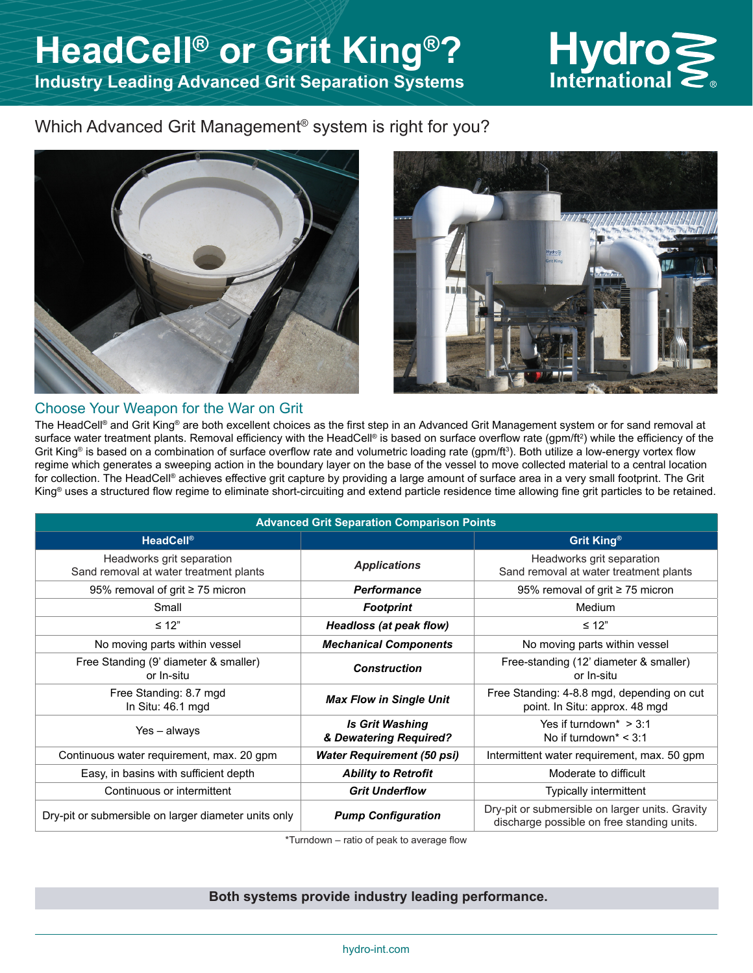# $Hydro<sub>l</sub>$

## Which Advanced Grit Management<sup>®</sup> system is right for you?





#### Choose Your Weapon for the War on Grit

The HeadCell® and Grit King® are both excellent choices as the first step in an Advanced Grit Management system or for sand removal at surface water treatment plants. Removal efficiency with the HeadCell® is based on surface overflow rate (gpm/ft²) while the efficiency of the Grit King® is based on a combination of surface overflow rate and volumetric loading rate (gpm/ft3). Both utilize a low-energy vortex flow regime which generates a sweeping action in the boundary layer on the base of the vessel to move collected material to a central location for collection. The HeadCell® achieves effective grit capture by providing a large amount of surface area in a very small footprint. The Grit King® uses a structured flow regime to eliminate short-circuiting and extend particle residence time allowing fine grit particles to be retained.

| <b>Advanced Grit Separation Comparison Points</b>                   |                                                  |                                                                                               |
|---------------------------------------------------------------------|--------------------------------------------------|-----------------------------------------------------------------------------------------------|
| <b>HeadCell®</b>                                                    |                                                  | Grit King®                                                                                    |
| Headworks grit separation<br>Sand removal at water treatment plants | <b>Applications</b>                              | Headworks grit separation<br>Sand removal at water treatment plants                           |
| 95% removal of grit ≥ 75 micron                                     | <b>Performance</b>                               | 95% removal of grit ≥ 75 micron                                                               |
| Small                                                               | <b>Footprint</b>                                 | Medium                                                                                        |
| $\leq 12"$                                                          | <b>Headloss (at peak flow)</b>                   | $\leq 12"$                                                                                    |
| No moving parts within vessel                                       | <b>Mechanical Components</b>                     | No moving parts within vessel                                                                 |
| Free Standing (9' diameter & smaller)<br>or In-situ                 | <b>Construction</b>                              | Free-standing (12' diameter & smaller)<br>or In-situ                                          |
| Free Standing: 8.7 mgd<br>In Situ: 46.1 mgd                         | <b>Max Flow in Single Unit</b>                   | Free Standing: 4-8.8 mgd, depending on cut<br>point. In Situ: approx. 48 mgd                  |
| Yes – always                                                        | <b>Is Grit Washing</b><br>& Dewatering Required? | Yes if turndown <sup>*</sup> $>$ 3:1<br>No if turndown* $<$ 3:1                               |
| Continuous water requirement, max. 20 gpm                           | <b>Water Requirement (50 psi)</b>                | Intermittent water requirement, max. 50 gpm                                                   |
| Easy, in basins with sufficient depth                               | <b>Ability to Retrofit</b>                       | Moderate to difficult                                                                         |
| Continuous or intermittent                                          | <b>Grit Underflow</b>                            | Typically intermittent                                                                        |
| Dry-pit or submersible on larger diameter units only                | <b>Pump Configuration</b>                        | Dry-pit or submersible on larger units. Gravity<br>discharge possible on free standing units. |

\*Turndown – ratio of peak to average flow

#### **Both systems provide industry leading performance.**